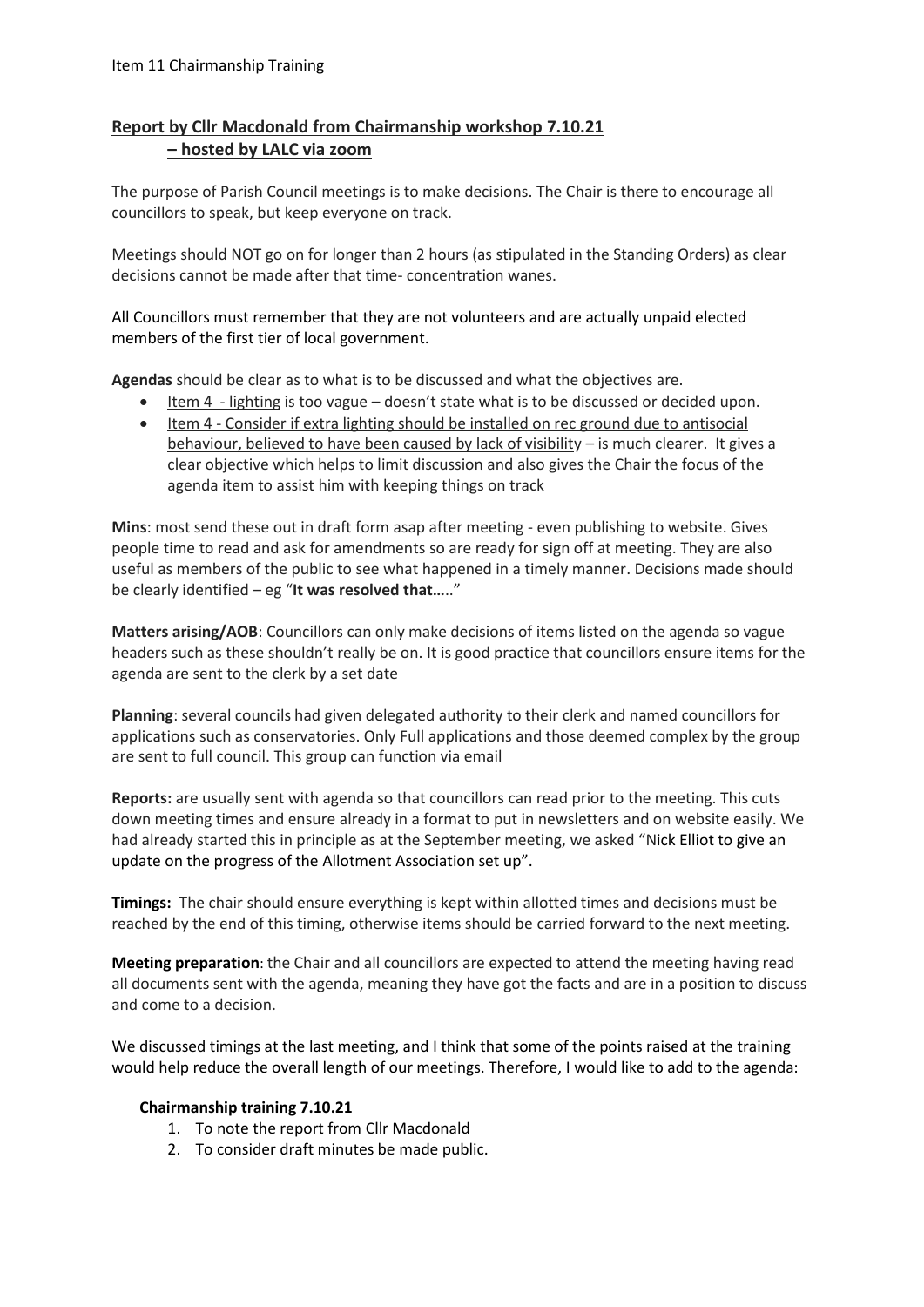## **Report by Cllr Macdonald from Chairmanship workshop 7.10.21 – hosted by LALC via zoom**

The purpose of Parish Council meetings is to make decisions. The Chair is there to encourage all councillors to speak, but keep everyone on track.

Meetings should NOT go on for longer than 2 hours (as stipulated in the Standing Orders) as clear decisions cannot be made after that time- concentration wanes.

All Councillors must remember that they are not volunteers and are actually unpaid elected members of the first tier of local government.

**Agendas** should be clear as to what is to be discussed and what the objectives are.

- Item 4 lighting is too vague doesn't state what is to be discussed or decided upon.
- Item 4 Consider if extra lighting should be installed on rec ground due to antisocial behaviour, believed to have been caused by lack of visibility – is much clearer. It gives a clear objective which helps to limit discussion and also gives the Chair the focus of the agenda item to assist him with keeping things on track

**Mins**: most send these out in draft form asap after meeting - even publishing to website. Gives people time to read and ask for amendments so are ready for sign off at meeting. They are also useful as members of the public to see what happened in a timely manner. Decisions made should be clearly identified – eg "**It was resolved that…**.."

**Matters arising/AOB**: Councillors can only make decisions of items listed on the agenda so vague headers such as these shouldn't really be on. It is good practice that councillors ensure items for the agenda are sent to the clerk by a set date

**Planning**: several councils had given delegated authority to their clerk and named councillors for applications such as conservatories. Only Full applications and those deemed complex by the group are sent to full council. This group can function via email

**Reports:** are usually sent with agenda so that councillors can read prior to the meeting. This cuts down meeting times and ensure already in a format to put in newsletters and on website easily. We had already started this in principle as at the September meeting, we asked "Nick Elliot to give an update on the progress of the Allotment Association set up".

**Timings:** The chair should ensure everything is kept within allotted times and decisions must be reached by the end of this timing, otherwise items should be carried forward to the next meeting.

**Meeting preparation**: the Chair and all councillors are expected to attend the meeting having read all documents sent with the agenda, meaning they have got the facts and are in a position to discuss and come to a decision.

We discussed timings at the last meeting, and I think that some of the points raised at the training would help reduce the overall length of our meetings. Therefore, I would like to add to the agenda:

## **Chairmanship training 7.10.21**

- 1. To note the report from Cllr Macdonald
- 2. To consider draft minutes be made public.